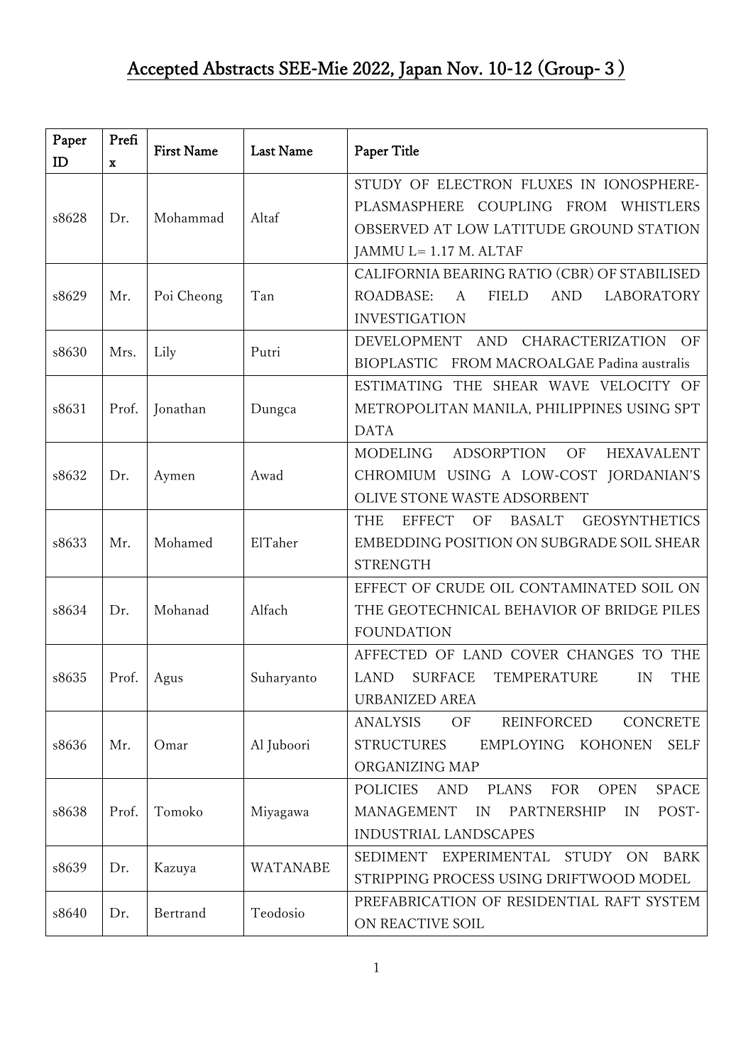| Paper | Prefi       | <b>First Name</b> | <b>Last Name</b> | Paper Title                                                                         |
|-------|-------------|-------------------|------------------|-------------------------------------------------------------------------------------|
| ID    | $\mathbf X$ |                   |                  |                                                                                     |
|       |             |                   |                  | STUDY OF ELECTRON FLUXES IN IONOSPHERE-                                             |
| s8628 | Dr.         | Mohammad          | Altaf            | COUPLING<br>PLASMASPHERE<br>FROM<br>WHISTLERS                                       |
|       |             |                   |                  | OBSERVED AT LOW LATITUDE GROUND STATION                                             |
|       |             |                   |                  | JAMMU L= 1.17 M. ALTAF                                                              |
| s8629 | Mr.         | Poi Cheong        | Tan              | CALIFORNIA BEARING RATIO (CBR) OF STABILISED                                        |
|       |             |                   |                  | ROADBASE:<br><b>FIELD</b><br><b>AND</b><br><b>LABORATORY</b><br>$\mathbf{A}$        |
|       |             |                   |                  | <b>INVESTIGATION</b>                                                                |
| s8630 | Mrs.        | Lily              | Putri            | CHARACTERIZATION<br><b>DEVELOPMENT</b><br>AND<br>OF                                 |
|       |             |                   |                  | BIOPLASTIC FROM MACROALGAE Padina australis                                         |
|       |             |                   |                  | ESTIMATING THE SHEAR WAVE VELOCITY OF                                               |
| s8631 | Prof.       | Jonathan          | Dungca           | METROPOLITAN MANILA, PHILIPPINES USING SPT                                          |
|       |             |                   |                  | <b>DATA</b>                                                                         |
|       |             |                   |                  | <b>MODELING</b><br><b>ADSORPTION</b><br>OF<br><b>HEXAVALENT</b>                     |
| s8632 | Dr.         | Aymen             | Awad             | CHROMIUM USING A LOW-COST JORDANIAN'S                                               |
|       |             |                   |                  | OLIVE STONE WASTE ADSORBENT                                                         |
|       |             |                   |                  | <b>GEOSYNTHETICS</b><br><b>THE</b><br><b>EFFECT</b><br>OF<br><b>BASALT</b>          |
| s8633 | Mr.         | Mohamed           | ElTaher          | EMBEDDING POSITION ON SUBGRADE SOIL SHEAR                                           |
|       |             |                   |                  | <b>STRENGTH</b>                                                                     |
|       |             |                   |                  | EFFECT OF CRUDE OIL CONTAMINATED SOIL ON                                            |
| s8634 | Dr.         | Mohanad           | Alfach           | THE GEOTECHNICAL BEHAVIOR OF BRIDGE PILES                                           |
|       |             |                   |                  | <b>FOUNDATION</b>                                                                   |
|       |             |                   |                  | AFFECTED OF LAND COVER CHANGES TO THE                                               |
| s8635 | Prof.       | Agus              | Suharyanto       | <b>LAND</b><br><b>SURFACE</b><br>TEMPERATURE<br>IN<br><b>THE</b>                    |
|       |             |                   |                  | <b>URBANIZED AREA</b>                                                               |
|       |             |                   |                  | <b>ANALYSIS</b><br>OF<br>REINFORCED<br>CONCRETE                                     |
| s8636 | Mr.         | Omar              | Al Juboori       | <b>STRUCTURES</b><br><b>EMPLOYING</b><br>KOHONEN<br><b>SELF</b>                     |
|       |             |                   |                  | ORGANIZING MAP                                                                      |
|       |             |                   |                  | <b>POLICIES</b><br><b>AND</b><br><b>PLANS</b><br>FOR<br><b>OPEN</b><br><b>SPACE</b> |
| s8638 | Prof.       | Tomoko            | Miyagawa         | MANAGEMENT<br>POST-<br>PARTNERSHIP<br>IN<br>IN                                      |
|       |             |                   |                  | <b>INDUSTRIAL LANDSCAPES</b>                                                        |
| s8639 | Dr.         | Kazuya            | WATANABE         | SEDIMENT EXPERIMENTAL STUDY ON<br><b>BARK</b>                                       |
|       |             |                   |                  | STRIPPING PROCESS USING DRIFTWOOD MODEL                                             |
|       | Dr.         | Bertrand          | Teodosio         | PREFABRICATION OF RESIDENTIAL RAFT SYSTEM                                           |
| s8640 |             |                   |                  | ON REACTIVE SOIL                                                                    |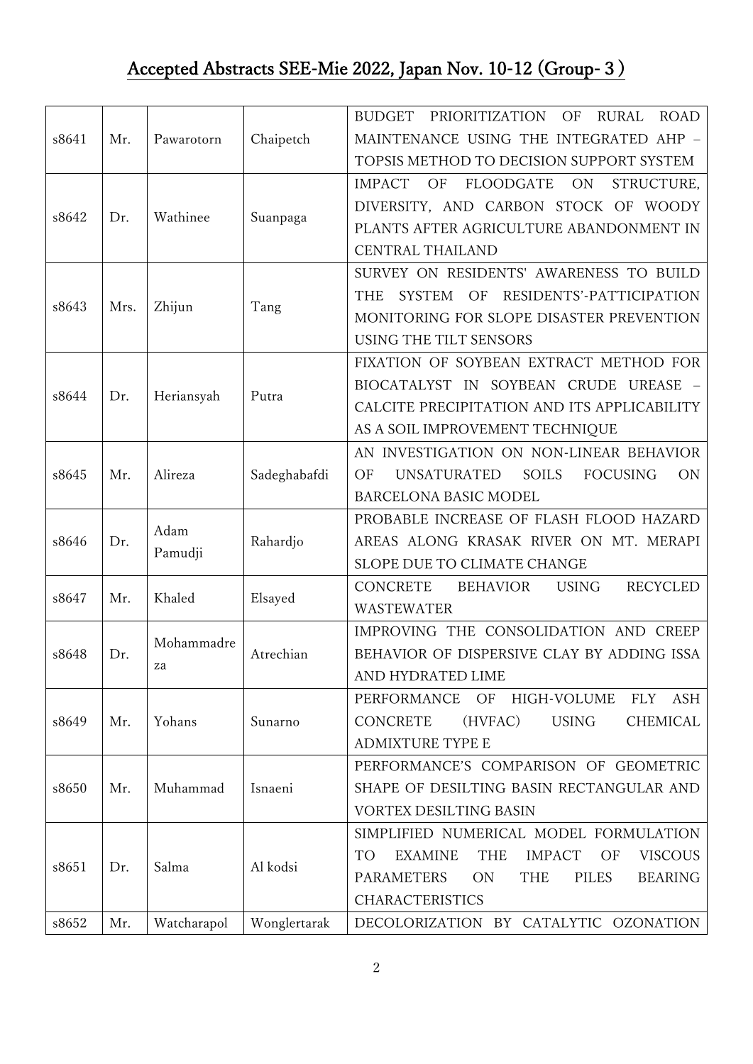## Accepted Abstracts SEE-Mie 2022, Japan Nov. 10-12 (Group-3)

| s8641 | Mr.  | Pawarotorn       | Chaipetch    | <b>BUDGET</b><br>PRIORITIZATION<br><b>ROAD</b><br>OF<br><b>RURAL</b><br>MAINTENANCE USING THE INTEGRATED AHP - |
|-------|------|------------------|--------------|----------------------------------------------------------------------------------------------------------------|
|       |      |                  |              | TOPSIS METHOD TO DECISION SUPPORT SYSTEM                                                                       |
|       |      |                  |              | <b>IMPACT</b><br>OF<br>FLOODGATE<br>ON<br>STRUCTURE.                                                           |
|       |      | Wathinee         | Suanpaga     | DIVERSITY, AND CARBON STOCK OF WOODY                                                                           |
| s8642 | Dr.  |                  |              | PLANTS AFTER AGRICULTURE ABANDONMENT IN                                                                        |
|       |      |                  |              | CENTRAL THAILAND                                                                                               |
|       |      | Zhijun           | Tang         | SURVEY ON RESIDENTS' AWARENESS TO BUILD                                                                        |
|       |      |                  |              | RESIDENTS'-PATTICIPATION<br><b>SYSTEM</b><br>OF<br><b>THE</b>                                                  |
| s8643 | Mrs. |                  |              | MONITORING FOR SLOPE DISASTER PREVENTION                                                                       |
|       |      |                  |              | USING THE TILT SENSORS                                                                                         |
|       |      | Heriansyah       | Putra        | FIXATION OF SOYBEAN EXTRACT METHOD FOR                                                                         |
|       |      |                  |              | BIOCATALYST IN SOYBEAN CRUDE UREASE                                                                            |
| s8644 | Dr.  |                  |              | CALCITE PRECIPITATION AND ITS APPLICABILITY                                                                    |
|       |      |                  |              | AS A SOIL IMPROVEMENT TECHNIQUE                                                                                |
|       |      |                  | Sadeghabafdi | AN INVESTIGATION ON NON-LINEAR BEHAVIOR                                                                        |
| s8645 | Mr.  | Alireza          |              | <b>UNSATURATED</b><br><b>SOILS</b><br><b>FOCUSING</b><br>OF<br><b>ON</b>                                       |
|       |      |                  |              | BARCELONA BASIC MODEL                                                                                          |
|       |      |                  | Rahardjo     | PROBABLE INCREASE OF FLASH FLOOD HAZARD                                                                        |
| s8646 | Dr.  | Adam<br>Pamudji  |              | AREAS ALONG KRASAK RIVER ON MT. MERAPI                                                                         |
|       |      |                  |              | SLOPE DUE TO CLIMATE CHANGE                                                                                    |
| s8647 | Mr.  | Khaled           | Elsayed      | <b>RECYCLED</b><br><b>USING</b><br><b>CONCRETE</b><br>BEHAVIOR                                                 |
|       |      |                  |              | <b>WASTEWATER</b>                                                                                              |
|       | Dr.  | Mohammadre<br>za | Atrechian    | IMPROVING THE CONSOLIDATION AND CREEP                                                                          |
| s8648 |      |                  |              | BEHAVIOR OF DISPERSIVE CLAY BY ADDING ISSA                                                                     |
|       |      |                  |              | AND HYDRATED LIME                                                                                              |
|       | Mr.  | Yohans           | Sunarno      | OF<br>PERFORMANCE<br>HIGH-VOLUME<br><b>FLY</b><br>ASH                                                          |
| s8649 |      |                  |              | <b>CONCRETE</b><br><b>USING</b><br>(HVFAC)<br>CHEMICAL                                                         |
|       |      |                  |              | <b>ADMIXTURE TYPE E</b>                                                                                        |
|       | Mr.  | Muhammad         | Isnaeni      | PERFORMANCE'S COMPARISON OF GEOMETRIC                                                                          |
| s8650 |      |                  |              | SHAPE OF DESILTING BASIN RECTANGULAR AND                                                                       |
|       |      |                  |              | VORTEX DESILTING BASIN                                                                                         |
| s8651 | Dr.  | Salma            | Al kodsi     | SIMPLIFIED NUMERICAL MODEL FORMULATION                                                                         |
|       |      |                  |              | <b>EXAMINE</b><br><b>THE</b><br><b>IMPACT</b><br>OF<br><b>VISCOUS</b><br>TO                                    |
|       |      |                  |              | <b>PARAMETERS</b><br>ON<br>THE<br><b>PILES</b><br><b>BEARING</b>                                               |
|       |      |                  |              | <b>CHARACTERISTICS</b>                                                                                         |
| s8652 | Mr.  | Watcharapol      | Wonglertarak | DECOLORIZATION BY CATALYTIC OZONATION                                                                          |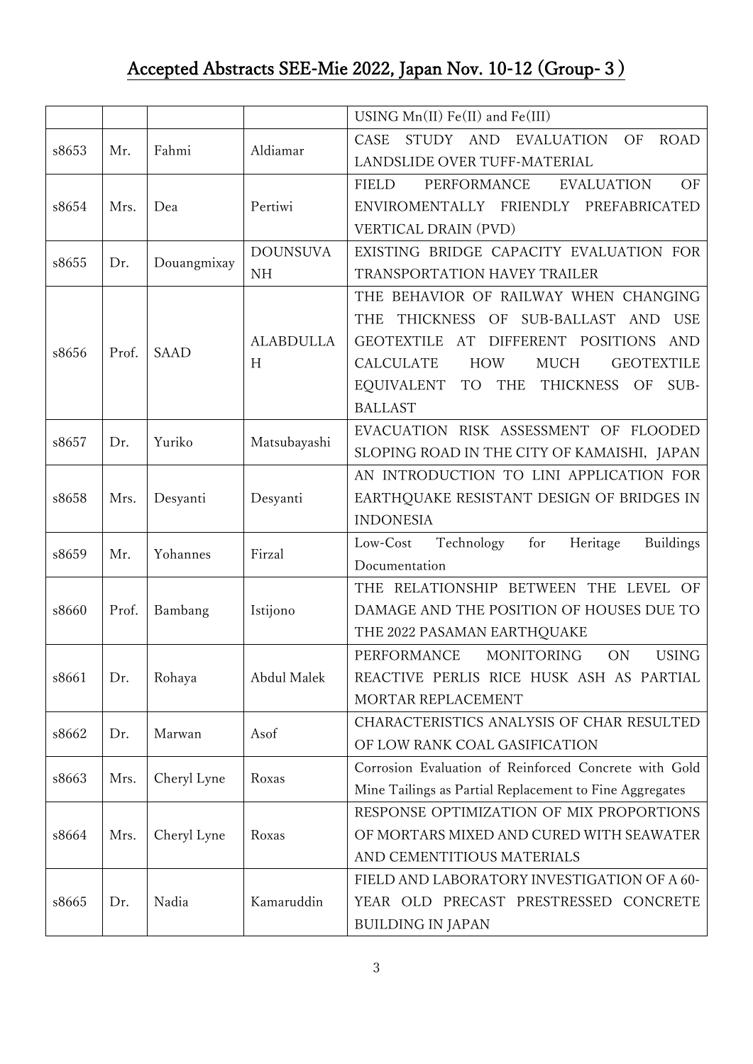## Accepted Abstracts SEE-Mie 2022, Japan Nov. 10-12 (Group-3)

|       |       |             |                              | USING $Mn(II)$ Fe(II) and Fe(III)                                                                                                                                                                                                                                                                                                |
|-------|-------|-------------|------------------------------|----------------------------------------------------------------------------------------------------------------------------------------------------------------------------------------------------------------------------------------------------------------------------------------------------------------------------------|
| s8653 | Mr.   | Fahmi       | Aldiamar                     | EVALUATION<br>OF<br><b>ROAD</b><br>CASE<br>STUDY AND<br>LANDSLIDE OVER TUFF-MATERIAL                                                                                                                                                                                                                                             |
| s8654 | Mrs.  | Dea         | Pertiwi                      | PERFORMANCE<br>OF<br><b>FIELD</b><br><b>EVALUATION</b><br>ENVIROMENTALLY FRIENDLY PREFABRICATED<br>VERTICAL DRAIN (PVD)                                                                                                                                                                                                          |
| s8655 | Dr.   | Douangmixay | <b>DOUNSUVA</b><br><b>NH</b> | EXISTING BRIDGE CAPACITY EVALUATION FOR<br>TRANSPORTATION HAVEY TRAILER                                                                                                                                                                                                                                                          |
| s8656 | Prof. | <b>SAAD</b> | <b>ALABDULLA</b><br>H        | THE BEHAVIOR OF RAILWAY WHEN CHANGING<br>THICKNESS OF SUB-BALLAST<br><b>USE</b><br><b>THE</b><br><b>AND</b><br><b>GEOTEXTILE</b><br>AT<br>DIFFERENT POSITIONS<br><b>AND</b><br><b>CALCULATE</b><br><b>HOW</b><br><b>MUCH</b><br><b>GEOTEXTILE</b><br>EQUIVALENT<br><b>TO</b><br>THE<br>THICKNESS<br>OF<br>SUB-<br><b>BALLAST</b> |
| s8657 | Dr.   | Yuriko      | Matsubayashi                 | EVACUATION RISK ASSESSMENT OF FLOODED<br>SLOPING ROAD IN THE CITY OF KAMAISHI, JAPAN                                                                                                                                                                                                                                             |
| s8658 | Mrs.  | Desyanti    | Desyanti                     | AN INTRODUCTION TO LINI APPLICATION FOR<br>EARTHQUAKE RESISTANT DESIGN OF BRIDGES IN<br><b>INDONESIA</b>                                                                                                                                                                                                                         |
| s8659 | Mr.   | Yohannes    | Firzal                       | Heritage<br>for<br>Low-Cost<br>Technology<br><b>Buildings</b><br>Documentation                                                                                                                                                                                                                                                   |
| s8660 | Prof. | Bambang     | Istijono                     | THE RELATIONSHIP BETWEEN<br>THE LEVEL<br>OF<br>DAMAGE AND THE POSITION OF HOUSES DUE TO<br>THE 2022 PASAMAN EARTHQUAKE                                                                                                                                                                                                           |
| s8661 | Dr.   | Rohaya      | Abdul Malek                  | <b>ON</b><br><b>USING</b><br>PERFORMANCE<br><b>MONITORING</b><br>REACTIVE PERLIS RICE HUSK ASH AS PARTIAL<br>MORTAR REPLACEMENT                                                                                                                                                                                                  |
| s8662 | Dr.   | Marwan      | Asof                         | CHARACTERISTICS ANALYSIS OF CHAR RESULTED<br>OF LOW RANK COAL GASIFICATION                                                                                                                                                                                                                                                       |
| s8663 | Mrs.  | Cheryl Lyne | Roxas                        | Corrosion Evaluation of Reinforced Concrete with Gold<br>Mine Tailings as Partial Replacement to Fine Aggregates                                                                                                                                                                                                                 |
| s8664 | Mrs.  | Cheryl Lyne | Roxas                        | RESPONSE OPTIMIZATION OF MIX PROPORTIONS<br>OF MORTARS MIXED AND CURED WITH SEAWATER<br>AND CEMENTITIOUS MATERIALS                                                                                                                                                                                                               |
| s8665 | Dr.   | Nadia       | Kamaruddin                   | FIELD AND LABORATORY INVESTIGATION OF A 60-<br>YEAR OLD PRECAST PRESTRESSED CONCRETE<br><b>BUILDING IN JAPAN</b>                                                                                                                                                                                                                 |